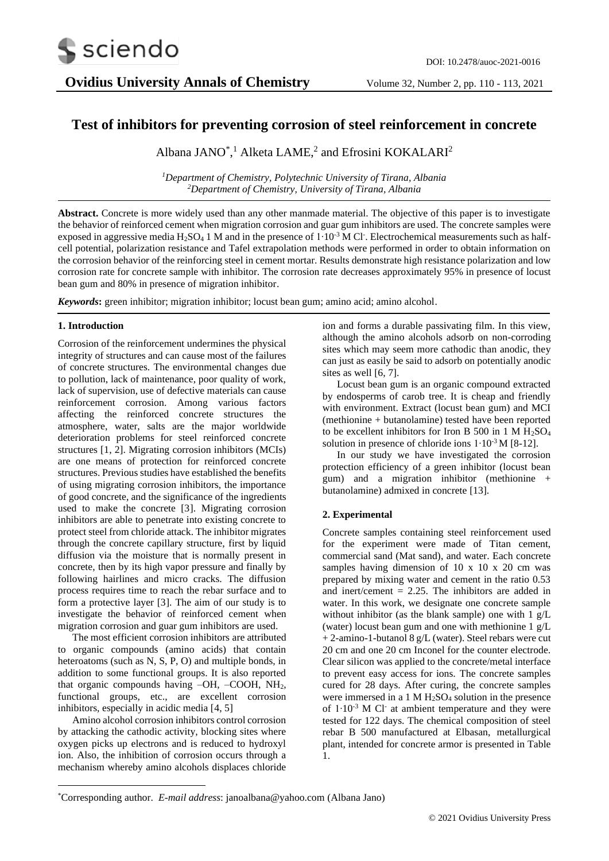

# **Test of inhibitors for preventing corrosion of steel reinforcement in concrete**

Albana JANO<sup>\*</sup>,<sup>1</sup> Alketa LAME,<sup>2</sup> and Efrosini KOKALARI<sup>2</sup>

*<sup>1</sup>Department of Chemistry, Polytechnic University of Tirana, Albania <sup>2</sup>Department of Chemistry, University of Tirana, Albania*

**Abstract.** Concrete is more widely used than any other manmade material. The objective of this paper is to investigate the behavior of reinforced cement when migration corrosion and guar gum inhibitors are used. The concrete samples were exposed in aggressive media  $H_2SO_4$  1 M and in the presence of  $1 \cdot 10^{-3}$  M Cl<sup>-</sup>. Electrochemical measurements such as halfcell potential, polarization resistance and Tafel extrapolation methods were performed in order to obtain information on the corrosion behavior of the reinforcing steel in cement mortar. Results demonstrate high resistance polarization and low corrosion rate for concrete sample with inhibitor. The corrosion rate decreases approximately 95% in presence of locust bean gum and 80% in presence of migration inhibitor.

*Keywords***:** green inhibitor; migration inhibitor; locust bean gum; amino acid; amino alcohol.

# **1. Introduction**

Corrosion of the reinforcement undermines the physical integrity of structures and can cause most of the failures of concrete structures. The environmental changes due to pollution, lack of maintenance, poor quality of work, lack of supervision, use of defective materials can cause reinforcement corrosion. Among various factors affecting the reinforced concrete structures the atmosphere, water, salts are the major worldwide deterioration problems for steel reinforced concrete structures [1, 2]. Migrating corrosion inhibitors (MCIs) are one means of protection for reinforced concrete structures. Previous studies have established the benefits of using migrating corrosion inhibitors, the importance of good concrete, and the significance of the ingredients used to make the concrete [3]. Migrating corrosion inhibitors are able to penetrate into existing concrete to protect steel from chloride attack. The inhibitor migrates through the concrete capillary structure, first by liquid diffusion via the moisture that is normally present in concrete, then by its high vapor pressure and finally by following hairlines and micro cracks. The diffusion process requires time to reach the rebar surface and to form a protective layer [3]. The aim of our study is to investigate the behavior of reinforced cement when migration corrosion and guar gum inhibitors are used.

The most efficient [corrosion inhibitors](https://www.sciencedirect.com/topics/engineering/corrosion-inhibitor) are attributed to organic compounds (amino acids) that contain heteroatoms (such as N, S, P, O) and multiple bonds, in addition to some functional groups. It is also reported that organic compounds having –OH, –COOH, NH2, functional groups, etc., are excellent corrosion inhibitors, especially in acidic media [4, 5]

Amino alcohol corrosion inhibitors control corrosion by attacking the cathodic activity, blocking sites where oxygen picks up electrons and is reduced to hydroxyl ion. Also, the inhibition of corrosion occurs through a mechanism whereby amino alcohols displaces chloride

ion and forms a durable passivating film. In this view, although the amino alcohols adsorb on non-corroding sites which may seem more cathodic than anodic, they can just as easily be said to adsorb on potentially anodic sites as well [6, 7].

Locust bean gum is an organic compound extracted by endosperms of carob tree. It is cheap and friendly with environment. Extract (locust bean gum) and MCI (methionine + butanolamine) tested have been reported to be excellent inhibitors for Iron B 500 in 1 M  $H_2SO_4$ solution in presence of chloride ions  $1 \cdot 10^{-3}$  M [8-12].

In our study we have investigated the corrosion protection efficiency of a green inhibitor (locust bean gum) and a migration inhibitor (methionine + butanolamine) admixed in concrete [13].

# **2. Experimental**

Concrete samples containing steel reinforcement used for the experiment were made of Titan cement, commercial sand (Mat sand), and water. Each concrete samples having dimension of 10 x 10 x 20 cm was prepared by mixing water and cement in the ratio 0.53 and inert/cement  $= 2.25$ . The inhibitors are added in water. In this work, we designate one concrete sample without inhibitor (as the blank sample) one with 1 g/L (water) locust bean gum and one with methionine 1 g/L + 2-amino-1-butanol 8 g/L (water). Steel rebars were cut 20 cm and one 20 cm Inconel for the counter electrode. Clear silicon was applied to the concrete/metal interface to prevent easy access for ions. The concrete samples cured for 28 days. After curing, the concrete samples were immersed in a 1 M  $H<sub>2</sub>SO<sub>4</sub>$  solution in the presence of 1⋅10<sup>-3</sup> M Cl<sup>-</sup> at ambient temperature and they were tested for 122 days. The chemical composition of steel rebar B 500 manufactured at Elbasan, metallurgical plant, intended for concrete armor is presented in Table 1.

<sup>\*</sup>Corresponding author. *E-mail address*: janoalbana@yahoo.com (Albana Jano)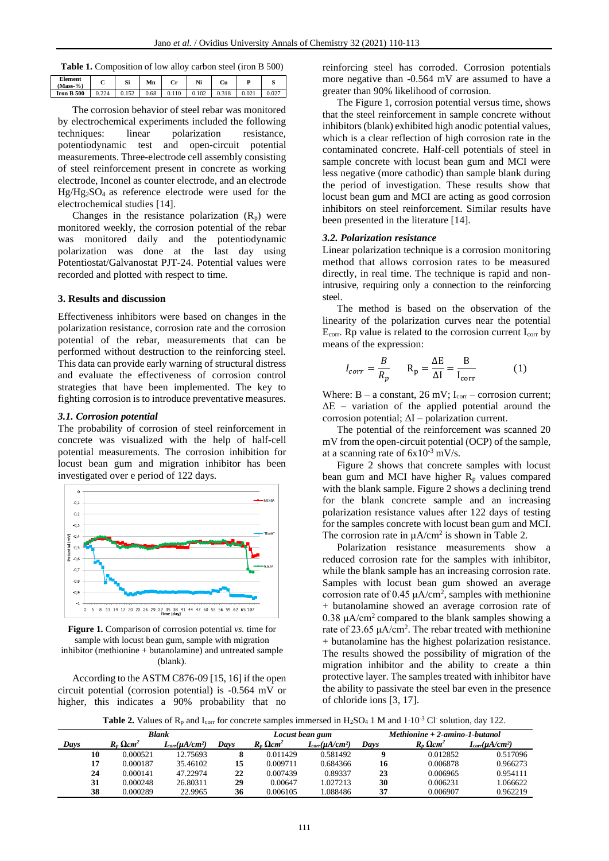| Table 1. Composition of low alloy carbon steel (iron B 500) |  |  |  |
|-------------------------------------------------------------|--|--|--|
|-------------------------------------------------------------|--|--|--|

| <b>Element</b><br>$(Mass-% )$ | ◡     | Si           | Mn   | Cr | Ni    | Сu    |  |
|-------------------------------|-------|--------------|------|----|-------|-------|--|
| <b>Iron B 500</b>             | 0.224 | 152<br>V.IJZ | 0.68 |    | 0.102 | 0.318 |  |

The corrosion behavior of steel rebar was monitored by electrochemical experiments included the following techniques: linear polarization resistance, potentiodynamic test and open-circuit potential measurements. Three-electrode cell assembly consisting of steel reinforcement present in concrete as working electrode, Inconel as counter electrode, and an electrode Hg/Hg2SO4 as reference electrode were used for the electrochemical studies [14].

Changes in the resistance polarization  $(R_p)$  were monitored weekly, the corrosion potential of the rebar was monitored daily and the potentiodynamic polarization was done at the last day using Potentiostat/Galvanostat PJT-24. Potential values were recorded and plotted with respect to time.

## **3. Results and discussion**

Effectiveness inhibitors were based on changes in the polarization resistance, corrosion rate and the corrosion potential of the rebar, measurements that can be performed without destruction to the reinforcing steel. This data can provide early warning of structural distress and evaluate the effectiveness of corrosion control strategies that have been implemented. The key to fighting corrosion is to introduce preventative measures.

#### *3.1. Corrosion potential*

The probability of corrosion of steel reinforcement in concrete was visualized with the help of half-cell potential measurements. The corrosion inhibition for locust bean gum and migration inhibitor has been investigated over e period of 122 days.



**Figure 1.** Comparison of corrosion potential *vs.* time for sample with locust bean gum, sample with migration inhibitor (methionine + butanolamine) and untreated sample (blank).

According to the ASTM C876-09 [15, 16] if the open circuit potential (corrosion potential) is -0.564 mV or higher, this indicates a 90% probability that no reinforcing steel has corroded. Corrosion potentials more negative than -0.564 mV are assumed to have a greater than 90% likelihood of corrosion.

The Figure 1, corrosion potential versus time, shows that the steel reinforcement in sample concrete without inhibitors (blank) exhibited high anodic potential values, which is a clear reflection of high corrosion rate in the contaminated concrete. Half-cell potentials of steel in sample concrete with locust bean gum and MCI were less negative (more cathodic) than sample blank during the period of investigation. These results show that locust bean gum and MCI are acting as good corrosion inhibitors on steel reinforcement. Similar results have been presented in the literature [14].

#### *3.2. Polarization resistance*

Linear polarization technique is a corrosion monitoring method that allows corrosion rates to be measured directly, in real time. The technique is rapid and nonintrusive, requiring only a connection to the reinforcing steel.

The method is based on the observation of the linearity of the polarization curves near the potential  $E_{\text{corr}}$ . Rp value is related to the corrosion current  $I_{\text{corr}}$  by means of the expression:

$$
I_{corr} = \frac{B}{R_p} \qquad R_p = \frac{\Delta E}{\Delta I} = \frac{B}{I_{corr}} \tag{1}
$$

Where:  $B - a constant$ , 26 mV;  $I_{corr} -$  corrosion current;  $\Delta E$  – variation of the applied potential around the corrosion potential;  $\Delta I$  – polarization current.

The potential of the reinforcement was scanned 20 mV from the open-circuit potential (OCP) of the sample, at a scanning rate of  $6x10^{-3}$  mV/s.

Figure 2 shows that concrete samples with locust bean gum and MCI have higher  $R<sub>p</sub>$  values compared with the blank sample. Figure 2 shows a declining trend for the blank concrete sample and an increasing polarization resistance values after 122 days of testing for the samples concrete with locust bean gum and MCI. The corrosion rate in  $\mu A/cm^2$  is shown in Table 2.

Polarization resistance measurements show a reduced corrosion rate for the samples with inhibitor, while the blank sample has an increasing corrosion rate. Samples with locust bean gum showed an average corrosion rate of 0.45  $\mu$ A/cm<sup>2</sup>, samples with methionine + butanolamine showed an average corrosion rate of 0.38  $\mu A/cm^2$  compared to the blank samples showing a rate of 23.65  $\mu A/cm^2$ . The rebar treated with methionine + butanolamine has the highest polarization resistance. The results showed the possibility of migration of the migration inhibitor and the ability to create a thin protective layer. The samples treated with inhibitor have the ability to passivate the steel bar even in the presence of chloride ions [3, 17].

**Table 2.** Values of  $\mathbb{R}_p$  and I<sub>corr</sub> for concrete samples immersed in H<sub>2</sub>SO<sub>4</sub> 1 M and 1⋅10<sup>-3</sup> Cl<sup>-</sup> solution, day 122.

|      | Blank |                              |                        |      | Locust bean gum              |                        | $Methodine + 2\text{-}amino-1\text{-}butanol$ |                              |                        |
|------|-------|------------------------------|------------------------|------|------------------------------|------------------------|-----------------------------------------------|------------------------------|------------------------|
| Days |       | $R_n \Omega$ cm <sup>2</sup> | $I_{corr}(\mu A/cm^2)$ | Days | $R_n \Omega$ cm <sup>2</sup> | $I_{corr}(\mu A/cm^2)$ | Davs                                          | $R_n \Omega$ cm <sup>2</sup> | $I_{corr}(\mu A/cm^2)$ |
|      | 10    | 0.000521                     | 12.75693               |      | 0.011429                     | 0.581492               |                                               | 0.012852                     | 0.517096               |
|      | 17    | 0.000187                     | 35.46102               | 15   | 0.009711                     | 0.684366               | 16                                            | 0.006878                     | 0.966273               |
|      | 24    | 0.000141                     | 47.22974               | 22   | 0.007439                     | 0.89337                | 23                                            | 0.006965                     | 0.954111               |
|      | 31    | 0.000248                     | 26.80311               | 29   | 0.00647                      | 1.027213               | 30                                            | 0.006231                     | 1.066622               |
|      | 38    | 0.000289                     | 22.9965                | 36   | 0.006105                     | 1.088486               | 37                                            | 0.006907                     | 0.962219               |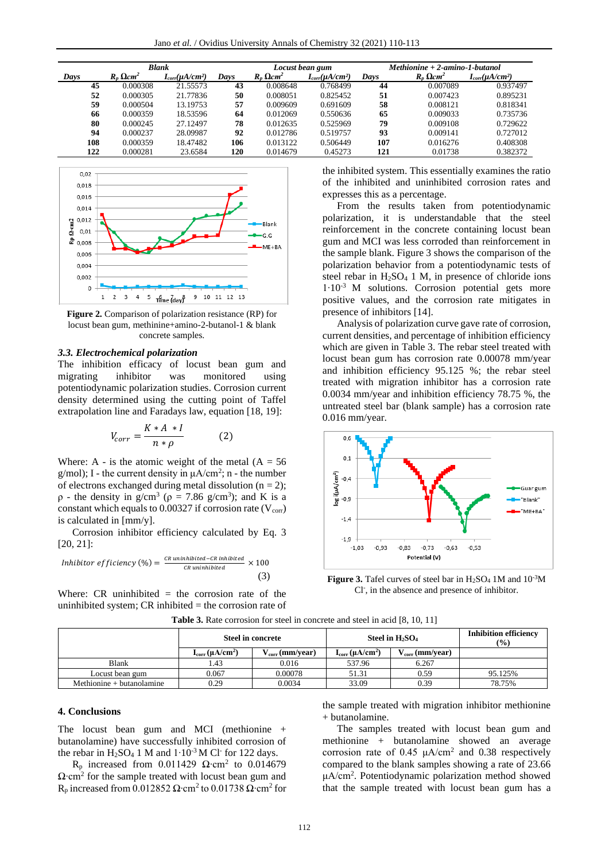| Blank |                              |                        |      | Locust bean gum              |                        | $Methodine + 2-amino-1-butanol$ |                              |                        |
|-------|------------------------------|------------------------|------|------------------------------|------------------------|---------------------------------|------------------------------|------------------------|
| Days  | $R_n \Omega$ cm <sup>2</sup> | $I_{corr}(\mu A/cm^2)$ | Days | $R_n \Omega$ cm <sup>2</sup> | $I_{corr}(\mu A/cm^2)$ | Davs                            | $R_p \Omega$ cm <sup>2</sup> | $I_{corr}(\mu A/cm^2)$ |
| 45    | 0.000308                     | 21.55573               | 43   | 0.008648                     | 0.768499               | 44                              | 0.007089                     | 0.937497               |
| 52    | 0.000305                     | 21.77836               | 50   | 0.008051                     | 0.825452               | 51                              | 0.007423                     | 0.895231               |
| 59    | 0.000504                     | 13.19753               | 57   | 0.009609                     | 0.691609               | 58                              | 0.008121                     | 0.818341               |
| 66    | 0.000359                     | 18.53596               | 64   | 0.012069                     | 0.550636               | 65                              | 0.009033                     | 0.735736               |
| 80    | 0.000245                     | 27.12497               | 78   | 0.012635                     | 0.525969               | 79                              | 0.009108                     | 0.729622               |
| 94    | 0.000237                     | 28.09987               | 92   | 0.012786                     | 0.519757               | 93                              | 0.009141                     | 0.727012               |
| 108   | 0.000359                     | 18.47482               | 106  | 0.013122                     | 0.506449               | 107                             | 0.016276                     | 0.408308               |
| 122   | 0.000281                     | 23.6584                | 120  | 0.014679                     | 0.45273                | 121                             | 0.01738                      | 0.382372               |



**Figure 2.** Comparison of polarization resistance (RP) for locust bean gum, methinine+amino-2-butanol-1 & blank concrete samples.

#### *3.3. Electrochemical polarization*

The inhibition efficacy of locust bean gum and migrating inhibitor was monitored using potentiodynamic polarization studies. Corrosion current density determined using the cutting point of Taffel extrapolation line and Faradays law, equation [18, 19]:

$$
V_{corr} = \frac{K \ast A \ast I}{n \ast \rho} \tag{2}
$$

Where: A - is the atomic weight of the metal  $(A = 56$  $g/mol$ ; I - the current density in  $\mu A/cm^2$ ; n - the number of electrons exchanged during metal dissolution ( $n = 2$ );  $\rho$  - the density in g/cm<sup>3</sup> ( $\rho = 7.86$  g/cm<sup>3</sup>); and K is a constant which equals to  $0.00327$  if corrosion rate ( $V_{\text{corr}}$ ) is calculated in [mm/y].

Corrosion inhibitor efficiency calculated by Eq. 3 [20, 21]:

$$
Inhibitor efficiency (\%) = \frac{CR\text{uninhibited}-CR\text{inhibited}}{CR\text{uninhibited}} \times 100
$$
\n(3)

Where:  $CR$  uninhibited  $=$  the corrosion rate of the uninhibited system;  $CR$  inhibited  $=$  the corrosion rate of the inhibited system. This essentially examines the ratio of the inhibited and uninhibited corrosion rates and expresses this as a percentage.

From the results taken from potentiodynamic polarization, it is understandable that the steel reinforcement in the concrete containing locust bean gum and MCI was less corroded than reinforcement in the sample blank. Figure 3 shows the comparison of the polarization behavior from a potentiodynamic tests of steel rebar in  $H_2SO_4$  1 M, in presence of chloride ions 1∙10-3 M solutions. Corrosion potential gets more positive values, and the corrosion rate mitigates in presence of inhibitors [14].

Analysis of polarization curve gave rate of corrosion, current densities, and percentage of inhibition efficiency which are given in Table 3. The rebar steel treated with locust bean gum has corrosion rate 0.00078 mm/year and inhibition efficiency 95.125 %; the rebar steel treated with migration inhibitor has a corrosion rate 0.0034 mm/year and inhibition efficiency 78.75 %, the untreated steel bar (blank sample) has a corrosion rate 0.016 mm/year.



**Figure 3.** Tafel curves of steel bar in H<sub>2</sub>SO<sub>4</sub> 1M and 10<sup>-3</sup>M Cl- , in the absence and presence of inhibitor.

|                             |                        | <b>Steel in concrete</b> | Steel in $H_2SO_4$     | <b>Inhibition efficiency</b><br>$\frac{9}{6}$ |         |
|-----------------------------|------------------------|--------------------------|------------------------|-----------------------------------------------|---------|
|                             | $I_{corr}(\mu A/cm^2)$ | $v_{\rm corr}$ (mm/year) | $I_{corr}(\mu A/cm^2)$ | $\dot{V}_{\rm corr}$ (mm/year)                |         |
| <b>Blank</b>                | l.43                   | 0.016                    | 537.96                 | 6.267                                         |         |
| Locust bean gum             | 0.067                  | 0.00078                  | 51.31                  | 0.59                                          | 95.125% |
| Methionine $+$ butanolamine | 0.29                   | 0.0034                   | 33.09                  | 0.39                                          | 78.75%  |

Table 3. Rate corrosion for steel in concrete and steel in acid [8, 10, 11]

#### **4. Conclusions**

The locust bean gum and MCI (methionine + butanolamine) have successfully inhibited corrosion of the rebar in H<sub>2</sub>SO<sub>4</sub> 1 M and  $1 \cdot 10^{-3}$  M Cl<sup>-</sup> for 122 days.

R<sub>p</sub> increased from 0.011429  $\Omega$ •cm<sup>2</sup> to 0.014679 Ω∙cm<sup>2</sup> for the sample treated with locust bean gum and R<sub>p</sub> increased from 0.012852  $\Omega$ ⋅cm<sup>2</sup> to 0.01738  $\Omega$ ⋅cm<sup>2</sup> for the sample treated with migration inhibitor methionine + butanolamine.

The samples treated with locust bean gum and methionine + butanolamine showed an average corrosion rate of  $0.45 \mu A/cm^2$  and  $0.38$  respectively compared to the blank samples showing a rate of 23.66 μA/cm<sup>2</sup> . Potentiodynamic polarization method showed that the sample treated with locust bean gum has a